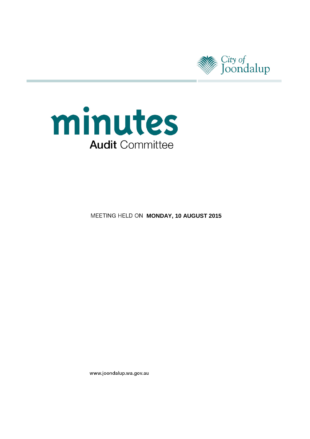



**MEETING HELD ON MONDAY, 10 AUGUST 2015** 

www.joondalup.wa.gov.au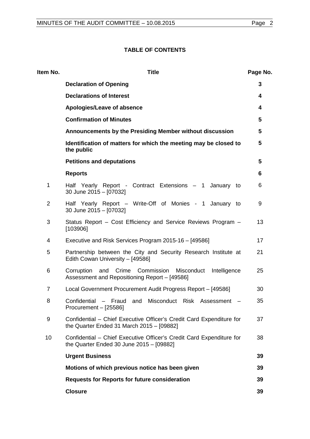# **TABLE OF CONTENTS**

| ltem No.       | <b>Title</b>                                                                                                         | Page No.        |
|----------------|----------------------------------------------------------------------------------------------------------------------|-----------------|
|                | <b>Declaration of Opening</b>                                                                                        | 3               |
|                | <b>Declarations of Interest</b>                                                                                      | 4               |
|                | Apologies/Leave of absence                                                                                           | 4               |
|                | <b>Confirmation of Minutes</b>                                                                                       | $5\phantom{.0}$ |
|                | Announcements by the Presiding Member without discussion                                                             | 5               |
|                | Identification of matters for which the meeting may be closed to<br>the public                                       | $5\phantom{.0}$ |
|                | <b>Petitions and deputations</b>                                                                                     | 5               |
|                | <b>Reports</b>                                                                                                       | 6               |
| 1              | Half Yearly Report - Contract Extensions - 1 January to<br>30 June 2015 - [07032]                                    | 6               |
| $\overline{2}$ | Half Yearly Report - Write-Off of Monies - 1 January to<br>30 June 2015 - [07032]                                    | 9               |
| 3              | Status Report – Cost Efficiency and Service Reviews Program –<br>[103906]                                            | 13              |
| 4              | Executive and Risk Services Program 2015-16 - [49586]                                                                | 17              |
| 5              | Partnership between the City and Security Research Institute at<br>Edith Cowan University - [49586]                  | 21              |
| 6              | Crime Commission<br>Corruption<br>and<br>Misconduct<br>Intelligence<br>Assessment and Repositioning Report - [49586] | 25              |
| $\overline{7}$ | Local Government Procurement Audit Progress Report - [49586]                                                         | 30              |
| 8              | Confidential - Fraud and Misconduct Risk Assessment<br>Procurement - [25586]                                         | 35              |
| 9              | Confidential - Chief Executive Officer's Credit Card Expenditure for<br>the Quarter Ended 31 March 2015 - [09882]    | 37              |
| 10             | Confidential - Chief Executive Officer's Credit Card Expenditure for<br>the Quarter Ended 30 June $2015 - [09882]$   | 38              |
|                | <b>Urgent Business</b>                                                                                               | 39              |
|                | Motions of which previous notice has been given                                                                      | 39              |
|                | <b>Requests for Reports for future consideration</b>                                                                 | 39              |
|                | <b>Closure</b>                                                                                                       | 39              |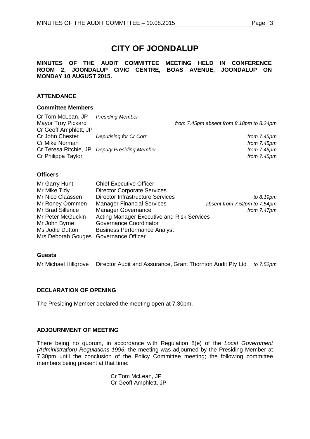# **CITY OF JOONDALUP**

## **MINUTES OF THE AUDIT COMMITTEE MEETING HELD IN CONFERENCE ROOM 2, JOONDALUP CIVIC CENTRE, BOAS AVENUE, JOONDALUP ON MONDAY 10 AUGUST 2015.**

# **ATTENDANCE**

## **Committee Members**

| <b>Presiding Member</b>        |                                          |
|--------------------------------|------------------------------------------|
|                                | from 7.45pm absent from 8.18pm to 8.24pm |
|                                |                                          |
| Deputising for Cr Corr         | from 7.45pm                              |
|                                | from 7.45pm                              |
| <b>Deputy Presiding Member</b> | from 7.45pm                              |
|                                | from $7.45pm$                            |
|                                |                                          |

## **Officers**

| Mr Garry Hunt                         | <b>Chief Executive Officer</b>             |                              |  |
|---------------------------------------|--------------------------------------------|------------------------------|--|
| Mr Mike Tidy                          | <b>Director Corporate Services</b>         |                              |  |
| Mr Nico Claassen                      | <b>Director Infrastructure Services</b>    | to 8.19pm                    |  |
| Mr Roney Oommen                       | <b>Manager Financial Services</b>          | absent from 7.52pm to 7.54pm |  |
| Mr Brad Sillence                      | <b>Manager Governance</b>                  | from 7.47pm                  |  |
| Mr Peter McGuckin                     | Acting Manager Executive and Risk Services |                              |  |
| Mr John Byrne                         | Governance Coordinator                     |                              |  |
| Ms Jodie Dutton                       | <b>Business Performance Analyst</b>        |                              |  |
| Mrs Deborah Gouges Governance Officer |                                            |                              |  |

## **Guests**

Mr Michael Hillgrove Director Audit and Assurance, Grant Thornton Audit Pty Ltd *to 7.52pm*

# <span id="page-2-0"></span>**DECLARATION OF OPENING**

The Presiding Member declared the meeting open at 7.30pm.

## **ADJOURNMENT OF MEETING**

There being no quorum, in accordance with Regulation 8(e) of the *Local Government (Administration) Regulations 1996,* the meeting was adjourned by the Presiding Member at 7.30pm until the conclusion of the Policy Committee meeting; the following committee members being present at that time:

> Cr Tom McLean, JP Cr Geoff Amphlett, JP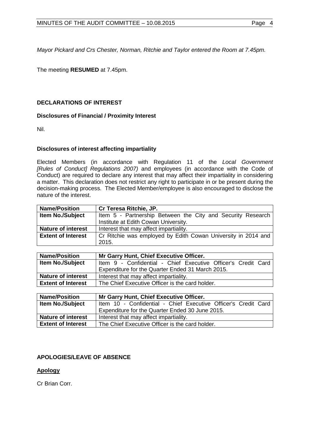*Mayor Pickard and Crs Chester, Norman, Ritchie and Taylor entered the Room at 7.45pm.* 

<span id="page-3-0"></span>The meeting **RESUMED** at 7.45pm.

# **DECLARATIONS OF INTEREST**

## **Disclosures of Financial / Proximity Interest**

Nil.

# **Disclosures of interest affecting impartiality**

Elected Members (in accordance with Regulation 11 of the *Local Government [Rules of Conduct] Regulations 2007)* and employees (in accordance with the Code of Conduct) are required to declare any interest that may affect their impartiality in considering a matter. This declaration does not restrict any right to participate in or be present during the decision-making process. The Elected Member/employee is also encouraged to disclose the nature of the interest.

| <b>Name/Position</b>      | Cr Teresa Ritchie, JP.                                        |  |  |
|---------------------------|---------------------------------------------------------------|--|--|
| <b>Item No./Subject</b>   | Item 5 - Partnership Between the City and Security Research   |  |  |
|                           | Institute at Edith Cowan University.                          |  |  |
| <b>Nature of interest</b> | Interest that may affect impartiality.                        |  |  |
| <b>Extent of Interest</b> | Cr Ritchie was employed by Edith Cowan University in 2014 and |  |  |
|                           | 2015.                                                         |  |  |

| <b>Name/Position</b>      | Mr Garry Hunt, Chief Executive Officer.                       |  |  |
|---------------------------|---------------------------------------------------------------|--|--|
| <b>Item No./Subject</b>   | Item 9 - Confidential - Chief Executive Officer's Credit Card |  |  |
|                           | Expenditure for the Quarter Ended 31 March 2015.              |  |  |
| <b>Nature of interest</b> | Interest that may affect impartiality.                        |  |  |
| <b>Extent of Interest</b> | The Chief Executive Officer is the card holder.               |  |  |

| <b>Name/Position</b>      | Mr Garry Hunt, Chief Executive Officer.                        |  |  |
|---------------------------|----------------------------------------------------------------|--|--|
| <b>Item No./Subject</b>   | Item 10 - Confidential - Chief Executive Officer's Credit Card |  |  |
|                           | Expenditure for the Quarter Ended 30 June 2015.                |  |  |
| <b>Nature of interest</b> | Interest that may affect impartiality.                         |  |  |
| <b>Extent of Interest</b> | The Chief Executive Officer is the card holder.                |  |  |

# <span id="page-3-1"></span>**APOLOGIES/LEAVE OF ABSENCE**

## **Apology**

Cr Brian Corr.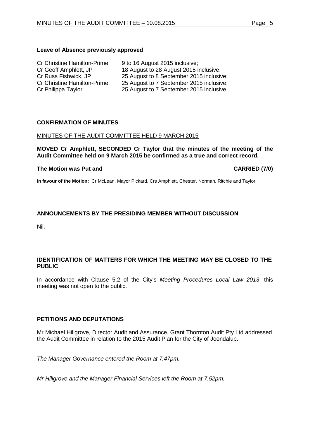## **Leave of Absence previously approved**

| <b>Cr Christine Hamilton-Prime</b> | 9 to 16 August 2015 inclusive;           |
|------------------------------------|------------------------------------------|
| Cr Geoff Amphlett, JP              | 18 August to 28 August 2015 inclusive;   |
| Cr Russ Fishwick, JP               | 25 August to 8 September 2015 inclusive; |
| <b>Cr Christine Hamilton-Prime</b> | 25 August to 7 September 2015 inclusive; |
| Cr Philippa Taylor                 | 25 August to 7 September 2015 inclusive. |

## <span id="page-4-0"></span>**CONFIRMATION OF MINUTES**

## MINUTES OF THE AUDIT COMMITTEE HELD 9 MARCH 2015

## **MOVED Cr Amphlett, SECONDED Cr Taylor that the minutes of the meeting of the Audit Committee held on 9 March 2015 be confirmed as a true and correct record.**

## **The Motion was Put and CARRIED (7/0)**

**In favour of the Motion:** Cr McLean, Mayor Pickard, Crs Amphlett, Chester, Norman, Ritchie and Taylor.

## <span id="page-4-1"></span>**ANNOUNCEMENTS BY THE PRESIDING MEMBER WITHOUT DISCUSSION**

Nil.

# <span id="page-4-2"></span>**IDENTIFICATION OF MATTERS FOR WHICH THE MEETING MAY BE CLOSED TO THE PUBLIC**

In accordance with Clause 5.2 of the City's *Meeting Procedures Local Law 2013*, this meeting was not open to the public.

## <span id="page-4-3"></span>**PETITIONS AND DEPUTATIONS**

Mr Michael Hillgrove, Director Audit and Assurance, Grant Thornton Audit Pty Ltd addressed the Audit Committee in relation to the 2015 Audit Plan for the City of Joondalup.

*The Manager Governance entered the Room at 7.47pm.* 

*Mr Hillgrove and the Manager Financial Services left the Room at 7.52pm.*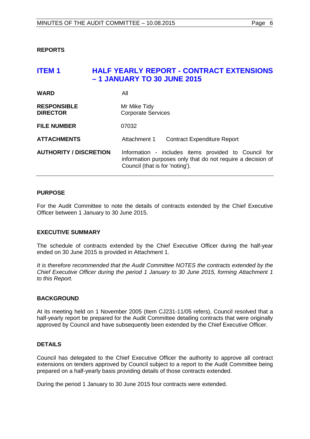# <span id="page-5-1"></span><span id="page-5-0"></span>**ITEM 1 HALF YEARLY REPORT - CONTRACT EXTENSIONS – 1 JANUARY TO 30 JUNE 2015 WARD** All **RESPONSIBLE** Mr Mike Tidy<br> **DIRECTOR** Corporate Se **Corporate Services**

**FILE NUMBER** 07032

**ATTACHMENTS** Attachment 1 Contract Expenditure Report

# **AUTHORITY / DISCRETION** Information - includes items provided to Council for information purposes only that do not require a decision of Council (that is for 'noting').

# **PURPOSE**

For the Audit Committee to note the details of contracts extended by the Chief Executive Officer between 1 January to 30 June 2015.

## **EXECUTIVE SUMMARY**

The schedule of contracts extended by the Chief Executive Officer during the half-year ended on 30 June 2015 is provided in Attachment 1.

*It is therefore recommended that the Audit Committee NOTES the contracts extended by the Chief Executive Officer during the period 1 January to 30 June 2015, forming Attachment 1 to this Report.*

## **BACKGROUND**

At its meeting held on 1 November 2005 (Item CJ231-11/05 refers), Council resolved that a half-yearly report be prepared for the Audit Committee detailing contracts that were originally approved by Council and have subsequently been extended by the Chief Executive Officer.

## **DETAILS**

Council has delegated to the Chief Executive Officer the authority to approve all contract extensions on tenders approved by Council subject to a report to the Audit Committee being prepared on a half-yearly basis providing details of those contracts extended.

During the period 1 January to 30 June 2015 four contracts were extended.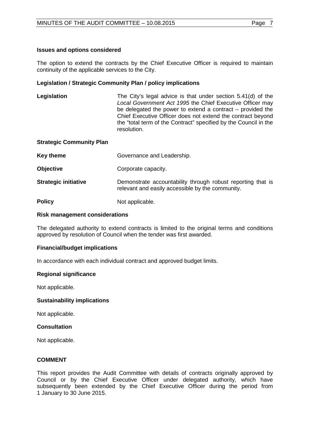## **Issues and options considered**

The option to extend the contracts by the Chief Executive Officer is required to maintain continuity of the applicable services to the City.

## **Legislation / Strategic Community Plan / policy implications**

**Legislation** The City's legal advice is that under section 5.41(d) of the *Local Government Act 1995* the Chief Executive Officer may be delegated the power to extend a contract – provided the Chief Executive Officer does not extend the contract beyond the "total term of the Contract" specified by the Council in the resolution.

## **Strategic Community Plan**

| <b>Key theme</b>            | Governance and Leadership.                                                                                      |
|-----------------------------|-----------------------------------------------------------------------------------------------------------------|
| <b>Objective</b>            | Corporate capacity.                                                                                             |
| <b>Strategic initiative</b> | Demonstrate accountability through robust reporting that is<br>relevant and easily accessible by the community. |
| <b>Policy</b>               | Not applicable.                                                                                                 |

## **Risk management considerations**

The delegated authority to extend contracts is limited to the original terms and conditions approved by resolution of Council when the tender was first awarded.

## **Financial/budget implications**

In accordance with each individual contract and approved budget limits.

## **Regional significance**

Not applicable.

## **Sustainability implications**

Not applicable.

## **Consultation**

Not applicable.

## **COMMENT**

This report provides the Audit Committee with details of contracts originally approved by Council or by the Chief Executive Officer under delegated authority, which have subsequently been extended by the Chief Executive Officer during the period from 1 January to 30 June 2015.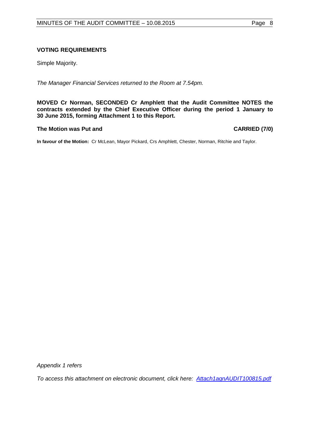## **VOTING REQUIREMENTS**

Simple Majority.

*The Manager Financial Services returned to the Room at 7.54pm.*

**MOVED Cr Norman, SECONDED Cr Amphlett that the Audit Committee NOTES the contracts extended by the Chief Executive Officer during the period 1 January to 30 June 2015, forming Attachment 1 to this Report.**

## **The Motion was Put and CARRIED (7/0)**

**In favour of the Motion:** Cr McLean, Mayor Pickard, Crs Amphlett, Chester, Norman, Ritchie and Taylor.

*Appendix 1 refers*

<span id="page-7-0"></span>*To access this attachment on electronic document, click [here: Attach1agnAUDIT100815.pdf](http://www.joondalup.wa.gov.au/files/committees/AUDT/2015/Attach1agnAUDIT100815.pdf)*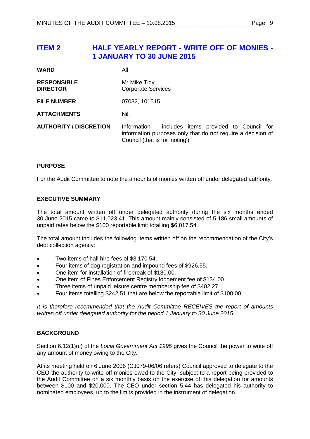# **ITEM 2 HALF YEARLY REPORT - WRITE OFF OF MONIES - 1 JANUARY TO 30 JUNE 2015**

| <b>WARD</b>                           | All                                                                                                                                                    |
|---------------------------------------|--------------------------------------------------------------------------------------------------------------------------------------------------------|
| <b>RESPONSIBLE</b><br><b>DIRECTOR</b> | Mr Mike Tidy<br><b>Corporate Services</b>                                                                                                              |
| <b>FILE NUMBER</b>                    | 07032, 101515                                                                                                                                          |
| <b>ATTACHMENTS</b>                    | Nil.                                                                                                                                                   |
| <b>AUTHORITY / DISCRETION</b>         | Information - includes items provided to Council for<br>information purposes only that do not require a decision of<br>Council (that is for 'noting'). |

# **PURPOSE**

For the Audit Committee to note the amounts of monies written off under delegated authority.

## **EXECUTIVE SUMMARY**

The total amount written off under delegated authority during the six months ended 30 June 2015 came to \$11,023.41. This amount mainly consisted of 5,186 small amounts of unpaid rates below the \$100 reportable limit totalling \$6,017.54.

The total amount includes the following items written off on the recommendation of the City's debt collection agency:

- Two items of hall hire fees of \$3,170.54.
- Four items of dog registration and impound fees of \$926.55.
- One item for installation of firebreak of \$130.00.
- One item of Fines Enforcement Registry lodgement fee of \$134.00.
- Three items of unpaid leisure centre membership fee of \$402.27.
- Four items totalling \$242.51 that are below the reportable limit of \$100.00.

*It is therefore recommended that the Audit Committee RECEIVES the report of amounts written off under delegated authority for the period 1 January to 30 June 2015.*

## **BACKGROUND**

Section 6.12(1)(c) of the *Local Government Act 1995* gives the Council the power to write off any amount of money owing to the City.

At its meeting held on 6 June 2006 (CJ079-06/06 refers) Council approved to delegate to the CEO the authority to write off monies owed to the City, subject to a report being provided to the Audit Committee on a six monthly basis on the exercise of this delegation for amounts between \$100 and \$20,000. The CEO under section 5.44 has delegated his authority to nominated employees, up to the limits provided in the instrument of delegation.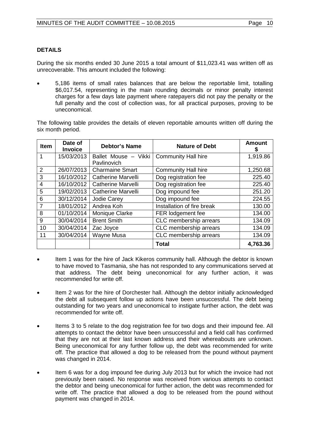# **DETAILS**

During the six months ended 30 June 2015 a total amount of \$11,023.41 was written off as unrecoverable. This amount included the following:

• 5,186 items of small rates balances that are below the reportable limit, totalling \$6,017.54, representing in the main rounding decimals or minor penalty interest charges for a few days late payment where ratepayers did not pay the penalty or the full penalty and the cost of collection was, for all practical purposes, proving to be uneconomical.

The following table provides the details of eleven reportable amounts written off during the six month period.

| <b>Item</b>    | Date of<br><b>Invoice</b> | <b>Debtor's Name</b>                | <b>Nature of Debt</b>      | <b>Amount</b> |
|----------------|---------------------------|-------------------------------------|----------------------------|---------------|
| 1              | 15/03/2013                | Ballet Mouse - Vikki<br>Pavlinovich | <b>Community Hall hire</b> | 1,919.86      |
| $\overline{2}$ | 26/07/2013                | <b>Charmaine Smart</b>              | <b>Community Hall hire</b> | 1,250.68      |
| 3              | 16/10/2012                | <b>Catherine Marvelli</b>           | Dog registration fee       | 225.40        |
| 4              | 16/10/2012                | <b>Catherine Marvelli</b>           | Dog registration fee       | 225.40        |
| 5              | 19/02/2013                | <b>Catherine Marvelli</b>           | Dog impound fee            | 251.20        |
| 6              | 30/12/2014                | Jodie Carey                         | Dog impound fee            | 224.55        |
| $\overline{7}$ | 18/01/2012                | Andrea Koh                          | Installation of fire break | 130.00        |
| 8              | 01/10/2014                | Monique Clarke                      | FER lodgement fee          | 134.00        |
| 9              | 30/04/2014                | <b>Brent Smith</b>                  | CLC membership arrears     | 134.09        |
| 10             | 30/04/2014                | Zac Joyce                           | CLC membership arrears     | 134.09        |
| 11             | 30/04/2014                | <b>Wayne Musa</b>                   | CLC membership arrears     | 134.09        |
|                |                           |                                     | <b>Total</b>               | 4,763.36      |

- Item 1 was for the hire of Jack Kikeros community hall. Although the debtor is known to have moved to Tasmania, she has not responded to any communications served at that address. The debt being uneconomical for any further action, it was recommended for write off.
- Item 2 was for the hire of Dorchester hall. Although the debtor initially acknowledged the debt all subsequent follow up actions have been unsuccessful. The debt being outstanding for two years and uneconomical to instigate further action, the debt was recommended for write off.
- Items 3 to 5 relate to the dog registration fee for two dogs and their impound fee. All attempts to contact the debtor have been unsuccessful and a field call has confirmed that they are not at their last known address and their whereabouts are unknown. Being uneconomical for any further follow up, the debt was recommended for write off. The practice that allowed a dog to be released from the pound without payment was changed in 2014.
- Item 6 was for a dog impound fee during July 2013 but for which the invoice had not previously been raised. No response was received from various attempts to contact the debtor and being uneconomical for further action, the debt was recommended for write off. The practice that allowed a dog to be released from the pound without payment was changed in 2014.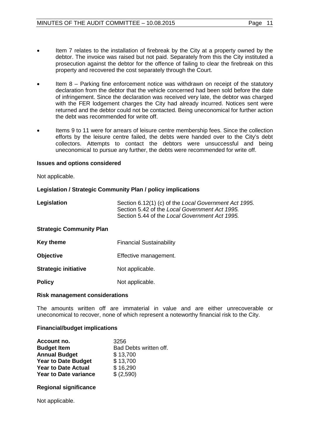- Item 7 relates to the installation of firebreak by the City at a property owned by the debtor. The invoice was raised but not paid. Separately from this the City instituted a prosecution against the debtor for the offence of failing to clear the firebreak on this property and recovered the cost separately through the Court.
- Item  $8$  Parking fine enforcement notice was withdrawn on receipt of the statutory declaration from the debtor that the vehicle concerned had been sold before the date of infringement. Since the declaration was received very late, the debtor was charged with the FER lodgement charges the City had already incurred. Notices sent were returned and the debtor could not be contacted. Being uneconomical for further action the debt was recommended for write off.
- Items 9 to 11 were for arrears of leisure centre membership fees. Since the collection efforts by the leisure centre failed, the debts were handed over to the City's debt collectors. Attempts to contact the debtors were unsuccessful and being uneconomical to pursue any further, the debts were recommended for write off.

## **Issues and options considered**

Not applicable.

## **Legislation / Strategic Community Plan / policy implications**

| Section 6.12(1) (c) of the Local Government Act 1995.<br>Section 5.42 of the Local Government Act 1995.<br>Section 5.44 of the Local Government Act 1995. |  |  |  |
|-----------------------------------------------------------------------------------------------------------------------------------------------------------|--|--|--|
| <b>Strategic Community Plan</b>                                                                                                                           |  |  |  |
| <b>Financial Sustainability</b>                                                                                                                           |  |  |  |
| Effective management.                                                                                                                                     |  |  |  |
| Not applicable.                                                                                                                                           |  |  |  |
|                                                                                                                                                           |  |  |  |

# **Policy** Not applicable.

## **Risk management considerations**

The amounts written off are immaterial in value and are either unrecoverable or uneconomical to recover, none of which represent a noteworthy financial risk to the City.

## **Financial/budget implications**

| Account no.                  | 3256                   |
|------------------------------|------------------------|
| <b>Budget Item</b>           | Bad Debts written off. |
| <b>Annual Budget</b>         | \$13,700               |
| <b>Year to Date Budget</b>   | \$13,700               |
| <b>Year to Date Actual</b>   | \$16,290               |
| <b>Year to Date variance</b> | \$ (2,590)             |

## **Regional significance**

Not applicable.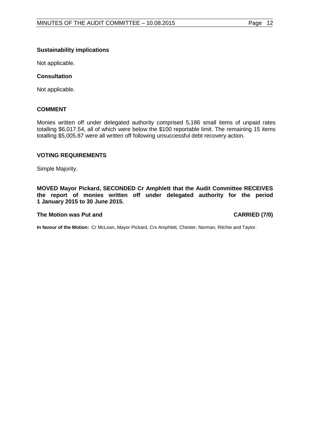## **Sustainability implications**

Not applicable.

## **Consultation**

Not applicable.

## **COMMENT**

Monies written off under delegated authority comprised 5,186 small items of unpaid rates totalling \$6,017.54, all of which were below the \$100 reportable limit. The remaining 15 items totalling \$5,005.87 were all written off following unsuccessful debt recovery action.

## **VOTING REQUIREMENTS**

Simple Majority.

**MOVED Mayor Pickard, SECONDED Cr Amphlett that the Audit Committee RECEIVES the report of monies written off under delegated authority for the period 1 January 2015 to 30 June 2015.**

## <span id="page-11-0"></span>**The Motion was Put and CARRIED (7/0)**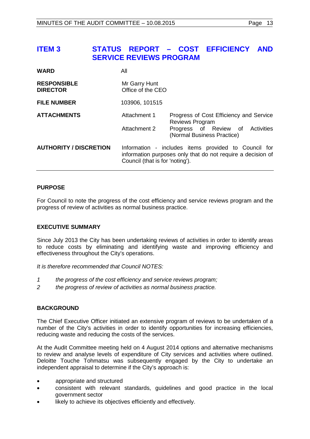# **ITEM 3 STATUS REPORT – COST EFFICIENCY AND SERVICE REVIEWS PROGRAM**

| <b>WARD</b>                           | All                                |                                                                                                                     |
|---------------------------------------|------------------------------------|---------------------------------------------------------------------------------------------------------------------|
| <b>RESPONSIBLE</b><br><b>DIRECTOR</b> | Mr Garry Hunt<br>Office of the CEO |                                                                                                                     |
| <b>FILE NUMBER</b>                    | 103906, 101515                     |                                                                                                                     |
| <b>ATTACHMENTS</b>                    | Attachment 1                       | Progress of Cost Efficiency and Service<br><b>Reviews Program</b>                                                   |
|                                       | Attachment 2                       | Progress of Review of Activities<br>(Normal Business Practice)                                                      |
| <b>AUTHORITY / DISCRETION</b>         | Council (that is for 'noting').    | Information - includes items provided to Council for<br>information purposes only that do not require a decision of |

## **PURPOSE**

For Council to note the progress of the cost efficiency and service reviews program and the progress of review of activities as normal business practice.

## **EXECUTIVE SUMMARY**

Since July 2013 the City has been undertaking reviews of activities in order to identify areas to reduce costs by eliminating and identifying waste and improving efficiency and effectiveness throughout the City's operations.

*It is therefore recommended that Council NOTES:*

- *1 the progress of the cost efficiency and service reviews program;*
- *2 the progress of review of activities as normal business practice.*

## **BACKGROUND**

The Chief Executive Officer initiated an extensive program of reviews to be undertaken of a number of the City's activities in order to identify opportunities for increasing efficiencies, reducing waste and reducing the costs of the services.

At the Audit Committee meeting held on 4 August 2014 options and alternative mechanisms to review and analyse levels of expenditure of City services and activities where outlined. Deloitte Touche Tohmatsu was subsequently engaged by the City to undertake an independent appraisal to determine if the City's approach is:

- appropriate and structured
- consistent with relevant standards, guidelines and good practice in the local government sector
- likely to achieve its objectives efficiently and effectively.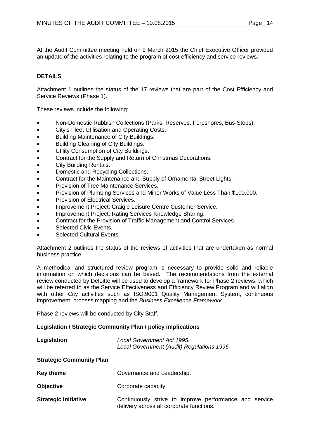At the Audit Committee meeting held on 9 March 2015 the Chief Executive Officer provided an update of the activities relating to the program of cost efficiency and service reviews.

# **DETAILS**

Attachment 1 outlines the status of the 17 reviews that are part of the Cost Efficiency and Service Reviews (Phase 1).

These reviews include the following:

- Non-Domestic Rubbish Collections (Parks, Reserves, Foreshores, Bus-Stops).
- City's Fleet Utilisation and Operating Costs.
- Building Maintenance of City Buildings.
- Building Cleaning of City Buildings.
- Utility Consumption of City Buildings.
- Contract for the Supply and Return of Christmas Decorations.
- City Building Rentals.
- Domestic and Recycling Collections.
- Contract for the Maintenance and Supply of Ornamental Street Lights.
- Provision of Tree Maintenance Services.
- Provision of Plumbing Services and Minor Works of Value Less Than \$100,000.
- Provision of Electrical Services.
- Improvement Project: Craigie Leisure Centre Customer Service.
- Improvement Project: Rating Services Knowledge Sharing.
- Contract for the Provision of Traffic Management and Control Services.
- Selected Civic Events.
- Selected Cultural Events.

Attachment 2 outlines the status of the reviews of activities that are undertaken as normal business practice.

A methodical and structured review program is necessary to provide solid and reliable information on which decisions can be based. The recommendations from the external review conducted by Deloitte will be used to develop a framework for Phase 2 reviews, which will be referred to as the Service Effectiveness and Efficiency Review Program and will align with other City activities such as ISO:9001 Quality Management System, continuous improvement, process mapping and the *Business Excellence Framework*.

Phase 2 reviews will be conducted by City Staff.

## **Legislation / Strategic Community Plan / policy implications**

| Legislation                     | Local Government Act 1995.<br>Local Government (Audit) Regulations 1996.                           |  |
|---------------------------------|----------------------------------------------------------------------------------------------------|--|
| <b>Strategic Community Plan</b> |                                                                                                    |  |
| <b>Key theme</b>                | Governance and Leadership.                                                                         |  |
| <b>Objective</b>                | Corporate capacity.                                                                                |  |
| <b>Strategic initiative</b>     | Continuously strive to improve performance and service<br>delivery across all corporate functions. |  |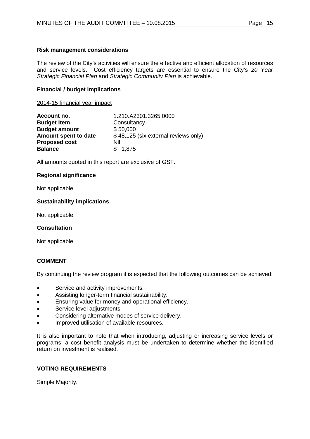## **Risk management considerations**

The review of the City's activities will ensure the effective and efficient allocation of resources and service levels. Cost efficiency targets are essential to ensure the City's *20 Year Strategic Financial Plan* and *Strategic Community Plan* is achievable.

## **Financial / budget implications**

2014-15 financial year impact

| Account no.          | 1.210.A2301.3265.0000                 |
|----------------------|---------------------------------------|
| <b>Budget Item</b>   | Consultancy.                          |
| <b>Budget amount</b> | \$50,000                              |
| Amount spent to date | \$48,125 (six external reviews only). |
| <b>Proposed cost</b> | Nil.                                  |
| <b>Balance</b>       | \$1,875                               |

All amounts quoted in this report are exclusive of GST.

## **Regional significance**

Not applicable.

## **Sustainability implications**

Not applicable.

## **Consultation**

Not applicable.

## **COMMENT**

By continuing the review program it is expected that the following outcomes can be achieved:

- Service and activity improvements.
- Assisting longer-term financial sustainability.
- Ensuring value for money and operational efficiency.
- Service level adjustments.
- Considering alternative modes of service delivery.
- Improved utilisation of available resources.

It is also important to note that when introducing, adjusting or increasing service levels or programs, a cost benefit analysis must be undertaken to determine whether the identified return on investment is realised.

## **VOTING REQUIREMENTS**

Simple Majority.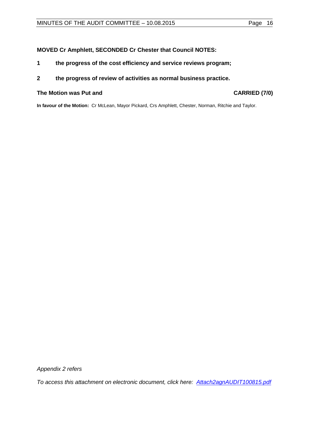# **MOVED Cr Amphlett, SECONDED Cr Chester that Council NOTES:**

- **1 the progress of the cost efficiency and service reviews program;**
- **2 the progress of review of activities as normal business practice.**

## **The Motion was Put and CARRIED (7/0)**

**In favour of the Motion:** Cr McLean, Mayor Pickard, Crs Amphlett, Chester, Norman, Ritchie and Taylor.

*Appendix 2 refers*

*To access this attachment on electronic document, click h[ere: Attach2agnAUDIT100815.pdf](http://www.joondalup.wa.gov.au/files/committees/AUDT/2015/Attach2agnAUDIT100815.pdf)*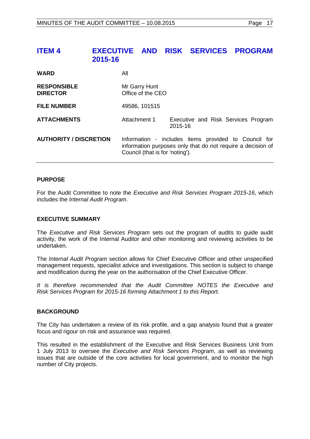# <span id="page-16-0"></span>**ITEM 4 EXECUTIVE AND RISK SERVICES PROGRAM 2015-16**

| <b>WARD</b>                           | All                                |                                                                                                                     |
|---------------------------------------|------------------------------------|---------------------------------------------------------------------------------------------------------------------|
| <b>RESPONSIBLE</b><br><b>DIRECTOR</b> | Mr Garry Hunt<br>Office of the CEO |                                                                                                                     |
| <b>FILE NUMBER</b>                    | 49586, 101515                      |                                                                                                                     |
| <b>ATTACHMENTS</b>                    | Attachment 1                       | Executive and Risk Services Program<br>2015-16                                                                      |
| <b>AUTHORITY / DISCRETION</b>         | Council (that is for 'noting').    | Information - includes items provided to Council for<br>information purposes only that do not require a decision of |

## **PURPOSE**

For the Audit Committee to note the *Executive and Risk Services Program 2015-16*, which includes the *Internal Audit Program*.

## **EXECUTIVE SUMMARY**

The *Executive and Risk Services Program* sets out the program of audits to guide audit activity, the work of the Internal Auditor and other monitoring and reviewing activities to be undertaken.

The *Internal Audit Program* section allows for Chief Executive Officer and other unspecified management requests, specialist advice and investigations. This section is subject to change and modification during the year on the authorisation of the Chief Executive Officer.

*It is therefore recommended that the Audit Committee NOTES the Executive and Risk Services Program for 2015-16 forming Attachment 1 to this Report.*

## **BACKGROUND**

The City has undertaken a review of its risk profile, and a gap analysis found that a greater focus and rigour on risk and assurance was required.

This resulted in the establishment of the Executive and Risk Services Business Unit from 1 July 2013 to oversee the *Executive and Risk Services Program*, as well as reviewing issues that are outside of the core activities for local government, and to monitor the high number of City projects.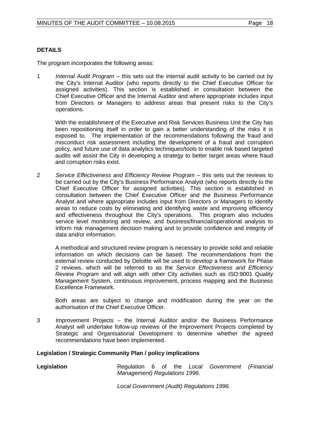# **DETAILS**

The program incorporates the following areas:

1 *Internal Audit Program* – this sets out the internal audit activity to be carried out by the City's Internal Auditor (who reports directly to the Chief Executive Officer for assigned activities). This section is established in consultation between the Chief Executive Officer and the Internal Auditor and where appropriate includes input from Directors or Managers to address areas that present risks to the City's operations.

With the establishment of the Executive and Risk Services Business Unit the City has been repositioning itself in order to gain a better understanding of the risks it is exposed to. The implementation of the recommendations following the fraud and misconduct risk assessment including the development of a fraud and corruption policy, and future use of data analytics techniques/tools to enable risk based targeted audits will assist the City in developing a strategy to better target areas where fraud and corruption risks exist.

2 *Service Effectiveness and Efficiency Review Program* – this sets out the reviews to be carried out by the City's Business Performance Analyst (who reports directly to the Chief Executive Officer for assigned activities). This section is established in consultation between the Chief Executive Officer and the Business Performance Analyst and where appropriate includes input from Directors or Managers to identify areas to reduce costs by eliminating and identifying waste and improving efficiency and effectiveness throughout the City's operations. This program also includes service level monitoring and review, and business/financial/operational analysis to inform risk management decision making and to provide confidence and integrity of data and/or information.

A methodical and structured review program is necessary to provide solid and reliable information on which decisions can be based. The recommendations from the external review conducted by Deloitte will be used to develop a framework for Phase 2 reviews, which will be referred to as the *Service Effectiveness and Efficiency Review Program* and will align with other City activities such as ISO:9001 Quality Management System, continuous improvement, process mapping and the Business Excellence Framework.

Both areas are subject to change and modification during the year on the authorisation of the Chief Executive Officer.

3 Improvement Projects – the Internal Auditor and/or the Business Performance Analyst will undertake follow-up reviews of the Improvement Projects completed by Strategic and Organisational Development to determine whether the agreed recommendations have been implemented.

## **Legislation / Strategic Community Plan / policy implications**

**Legislation Regulation 6 of the Local Government (Financial** *Management) Regulations 1996.*

*Local Government (Audit) Regulations 1996.*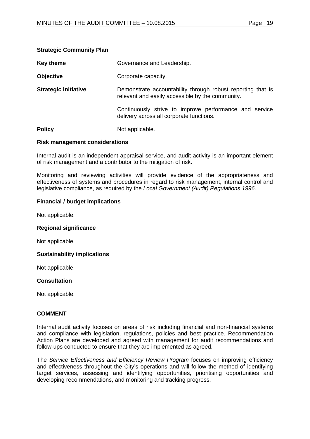| Key theme                   | Governance and Leadership.                                                                                      |
|-----------------------------|-----------------------------------------------------------------------------------------------------------------|
| <b>Objective</b>            | Corporate capacity.                                                                                             |
| <b>Strategic initiative</b> | Demonstrate accountability through robust reporting that is<br>relevant and easily accessible by the community. |
|                             | Continuously strive to improve performance and service<br>delivery across all corporate functions.              |
| <b>Policy</b>               | Not applicable.                                                                                                 |

## **Risk management considerations**

**Strategic Community Plan**

Internal audit is an independent appraisal service, and audit activity is an important element of risk management and a contributor to the mitigation of risk.

Monitoring and reviewing activities will provide evidence of the appropriateness and effectiveness of systems and procedures in regard to risk management, internal control and legislative compliance, as required by the *Local Government (Audit) Regulations 1996.*

## **Financial / budget implications**

Not applicable.

#### **Regional significance**

Not applicable.

## **Sustainability implications**

Not applicable.

## **Consultation**

Not applicable.

## **COMMENT**

Internal audit activity focuses on areas of risk including financial and non-financial systems and compliance with legislation, regulations, policies and best practice. Recommendation Action Plans are developed and agreed with management for audit recommendations and follow-ups conducted to ensure that they are implemented as agreed.

The *Service Effectiveness and Efficiency Review Program* focuses on improving efficiency and effectiveness throughout the City's operations and will follow the method of identifying target services, assessing and identifying opportunities, prioritising opportunities and developing recommendations, and monitoring and tracking progress.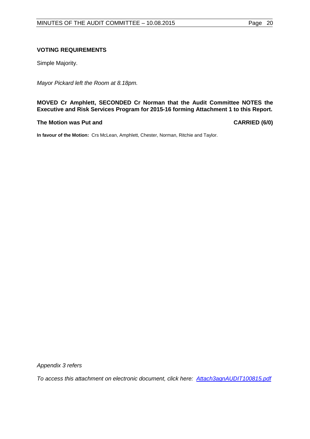## **VOTING REQUIREMENTS**

Simple Majority.

*Mayor Pickard left the Room at 8.18pm.* 

## **MOVED Cr Amphlett, SECONDED Cr Norman that the Audit Committee NOTES the Executive and Risk Services Program for 2015-16 forming Attachment 1 to this Report.**

## **The Motion was Put and CARRIED (6/0)**

**In favour of the Motion:** Crs McLean, Amphlett, Chester, Norman, Ritchie and Taylor.

*Appendix 3 refers*

*To access this attachment on electronic document, click [here: Attach3agnAUDIT100815.pdf](http://www.joondalup.wa.gov.au/files/committees/AUDT/2015/Attach3agnAUDIT100815.pdf)*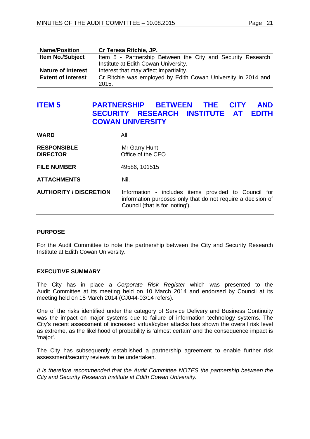| <b>Name/Position</b>      | Cr Teresa Ritchie, JP.                                        |
|---------------------------|---------------------------------------------------------------|
| <b>Item No./Subject</b>   | Item 5 - Partnership Between the City and Security Research   |
|                           | Institute at Edith Cowan University.                          |
| <b>Nature of interest</b> | Interest that may affect impartiality.                        |
| <b>Extent of Interest</b> | Cr Ritchie was employed by Edith Cowan University in 2014 and |
|                           | 2015.                                                         |

# <span id="page-20-0"></span>**ITEM 5 PARTNERSHIP BETWEEN THE CITY AND SECURITY RESEARCH INSTITUTE AT EDITH COWAN UNIVERSITY**

| <b>RESPONSIBLE</b><br><b>DIRECTOR</b> | Mr Garry Hunt<br>Office of the CEO                                                                                                                     |
|---------------------------------------|--------------------------------------------------------------------------------------------------------------------------------------------------------|
| <b>FILE NUMBER</b>                    | 49586, 101515                                                                                                                                          |
| <b>ATTACHMENTS</b>                    | Nil.                                                                                                                                                   |
| <b>AUTHORITY / DISCRETION</b>         | Information - includes items provided to Council for<br>information purposes only that do not require a decision of<br>Council (that is for 'noting'). |

## **PURPOSE**

For the Audit Committee to note the partnership between the City and Security Research Institute at Edith Cowan University.

## **EXECUTIVE SUMMARY**

**WARD** All

The City has in place a *Corporate Risk Register* which was presented to the Audit Committee at its meeting held on 10 March 2014 and endorsed by Council at its meeting held on 18 March 2014 (CJ044-03/14 refers).

One of the risks identified under the category of Service Delivery and Business Continuity was the impact on major systems due to failure of information technology systems. The City's recent assessment of increased virtual/cyber attacks has shown the overall risk level as extreme, as the likelihood of probability is 'almost certain' and the consequence impact is 'major'.

The City has subsequently established a partnership agreement to enable further risk assessment/security reviews to be undertaken.

*It is therefore recommended that the Audit Committee NOTES the partnership between the City and Security Research Institute at Edith Cowan University.*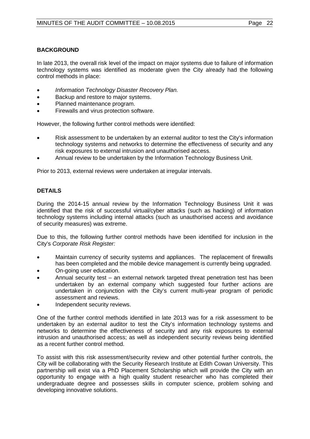# **BACKGROUND**

In late 2013, the overall risk level of the impact on major systems due to failure of information technology systems was identified as moderate given the City already had the following control methods in place:

- *Information Technology Disaster Recovery Plan.*
- Backup and restore to major systems.
- Planned maintenance program.
- Firewalls and virus protection software.

However, the following further control methods were identified:

- Risk assessment to be undertaken by an external auditor to test the City's information technology systems and networks to determine the effectiveness of security and any risk exposures to external intrusion and unauthorised access.
- Annual review to be undertaken by the Information Technology Business Unit.

Prior to 2013, external reviews were undertaken at irregular intervals.

# **DETAILS**

During the 2014-15 annual review by the Information Technology Business Unit it was identified that the risk of successful virtual/cyber attacks (such as hacking) of information technology systems including internal attacks (such as unauthorised access and avoidance of security measures) was extreme.

Due to this, the following further control methods have been identified for inclusion in the City's *Corporate Risk Register:*

- Maintain currency of security systems and appliances. The replacement of firewalls has been completed and the mobile device management is currently being upgraded.
- On-going user education.
- Annual security test an external network targeted threat penetration test has been undertaken by an external company which suggested four further actions are undertaken in conjunction with the City's current multi-year program of periodic assessment and reviews.
- Independent security reviews.

One of the further control methods identified in late 2013 was for a risk assessment to be undertaken by an external auditor to test the City's information technology systems and networks to determine the effectiveness of security and any risk exposures to external intrusion and unauthorised access; as well as independent security reviews being identified as a recent further control method.

To assist with this risk assessment/security review and other potential further controls, the City will be collaborating with the Security Research Institute at Edith Cowan University. This partnership will exist via a PhD Placement Scholarship which will provide the City with an opportunity to engage with a high quality student researcher who has completed their undergraduate degree and possesses skills in computer science, problem solving and developing innovative solutions.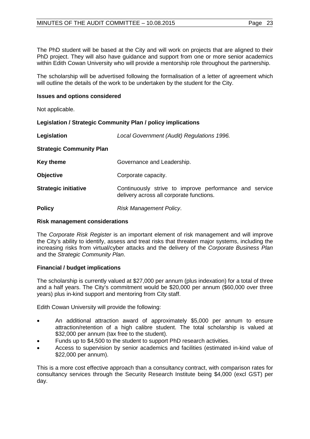The PhD student will be based at the City and will work on projects that are aligned to their PhD project. They will also have quidance and support from one or more senior academics within Edith Cowan University who will provide a mentorship role throughout the partnership.

The scholarship will be advertised following the formalisation of a letter of agreement which will outline the details of the work to be undertaken by the student for the City.

## **Issues and options considered**

Not applicable.

## **Legislation / Strategic Community Plan / policy implications**

| Legislation                     | Local Government (Audit) Regulations 1996.                                                         |
|---------------------------------|----------------------------------------------------------------------------------------------------|
| <b>Strategic Community Plan</b> |                                                                                                    |
| <b>Key theme</b>                | Governance and Leadership.                                                                         |
| <b>Objective</b>                | Corporate capacity.                                                                                |
| <b>Strategic initiative</b>     | Continuously strive to improve performance and service<br>delivery across all corporate functions. |
| <b>Policy</b>                   | Risk Management Policy.                                                                            |

## **Risk management considerations**

The *Corporate Risk Register* is an important element of risk management and will improve the City's ability to identify, assess and treat risks that threaten major systems, including the increasing risks from virtual/cyber attacks and the delivery of the *Corporate Business Plan* and the *Strategic Community Plan*.

## **Financial / budget implications**

The scholarship is currently valued at \$27,000 per annum (plus indexation) for a total of three and a half years. The City's commitment would be \$20,000 per annum (\$60,000 over three years) plus in-kind support and mentoring from City staff.

Edith Cowan University will provide the following:

- An additional attraction award of approximately \$5,000 per annum to ensure attraction/retention of a high calibre student. The total scholarship is valued at \$32,000 per annum (tax free to the student).
- Funds up to \$4,500 to the student to support PhD research activities.
- Access to supervision by senior academics and facilities (estimated in-kind value of \$22,000 per annum).

This is a more cost effective approach than a consultancy contract, with comparison rates for consultancy services through the Security Research Institute being \$4,000 (excl GST) per day.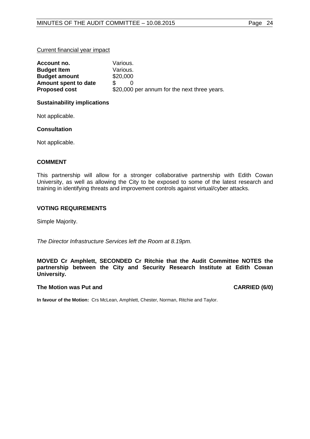## Current financial year impact

| Account no.          | Various.                                     |
|----------------------|----------------------------------------------|
| <b>Budget Item</b>   | Various.                                     |
| <b>Budget amount</b> | \$20,000                                     |
| Amount spent to date |                                              |
| <b>Proposed cost</b> | \$20,000 per annum for the next three years. |

## **Sustainability implications**

Not applicable.

## **Consultation**

Not applicable.

## **COMMENT**

This partnership will allow for a stronger collaborative partnership with Edith Cowan University, as well as allowing the City to be exposed to some of the latest research and training in identifying threats and improvement controls against virtual/cyber attacks.

## **VOTING REQUIREMENTS**

Simple Majority.

*The Director Infrastructure Services left the Room at 8.19pm.* 

## **MOVED Cr Amphlett, SECONDED Cr Ritchie that the Audit Committee NOTES the partnership between the City and Security Research Institute at Edith Cowan University.**

## **The Motion was Put and CARRIED (6/0)**

<span id="page-23-0"></span>**In favour of the Motion:** Crs McLean, Amphlett, Chester, Norman, Ritchie and Taylor.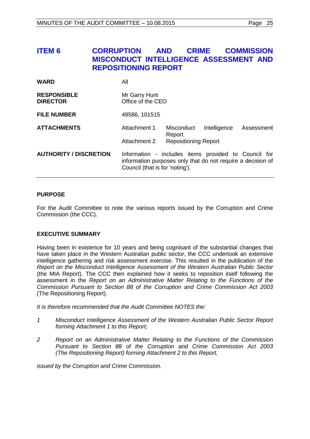# **ITEM 6 CORRUPTION AND CRIME COMMISSION MISCONDUCT INTELLIGENCE ASSESSMENT AND REPOSITIONING REPORT**

| <b>WARD</b>                           | All                                                                                                                                                    |                             |              |            |
|---------------------------------------|--------------------------------------------------------------------------------------------------------------------------------------------------------|-----------------------------|--------------|------------|
| <b>RESPONSIBLE</b><br><b>DIRECTOR</b> | Mr Garry Hunt<br>Office of the CEO                                                                                                                     |                             |              |            |
| <b>FILE NUMBER</b>                    | 49586, 101515                                                                                                                                          |                             |              |            |
| <b>ATTACHMENTS</b>                    | Attachment 1                                                                                                                                           | Misconduct<br>Report        | Intelligence | Assessment |
|                                       | Attachment 2                                                                                                                                           | <b>Repositioning Report</b> |              |            |
| <b>AUTHORITY / DISCRETION</b>         | Information - includes items provided to Council for<br>information purposes only that do not require a decision of<br>Council (that is for 'noting'). |                             |              |            |

## **PURPOSE**

For the Audit Committee to note the various reports issued by the Corruption and Crime Commission (the CCC).

## **EXECUTIVE SUMMARY**

Having been in existence for 10 years and being cognisant of the substantial changes that have taken place in the Western Australian public sector, the CCC undertook an extensive intelligence gathering and risk assessment exercise. This resulted in the publication of the *Report on the Misconduct Intelligence Assessment of the Western Australian Public Sector* (the MIA Report). The CCC then explained how it seeks to reposition itself following the assessment in the *Report on an Administrative Matter Relating to the Functions of the Commission Pursuant to Section 88 of the Corruption and Crime Commission Act 2003* (The Repositioning Report).

*It is therefore recommended that the Audit Committee NOTES the:*

- *1 Misconduct Intelligence Assessment of the Western Australian Public Sector Report forming Attachment 1 to this Report;*
- *2 Report on an Administrative Matter Relating to the Functions of the Commission Pursuant to Section 88 of the Corruption and Crime Commission Act 2003 (The Repositioning Report) forming Attachment 2 to this Report,*

*issued by the Corruption and Crime Commission.*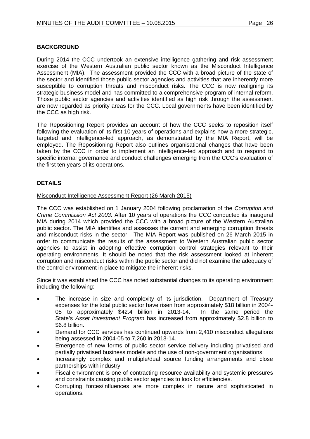# **BACKGROUND**

During 2014 the CCC undertook an extensive intelligence gathering and risk assessment exercise of the Western Australian public sector known as the Misconduct Intelligence Assessment (MIA). The assessment provided the CCC with a broad picture of the state of the sector and identified those public sector agencies and activities that are inherently more susceptible to corruption threats and misconduct risks. The CCC is now realigning its strategic business model and has committed to a comprehensive program of internal reform. Those public sector agencies and activities identified as high risk through the assessment are now regarded as priority areas for the CCC. Local governments have been identified by the CCC as high risk.

The Repositioning Report provides an account of how the CCC seeks to reposition itself following the evaluation of its first 10 years of operations and explains how a more strategic, targeted and intelligence-led approach, as demonstrated by the MIA Report, will be employed. The Repositioning Report also outlines organisational changes that have been taken by the CCC in order to implement an intelligence-led approach and to respond to specific internal governance and conduct challenges emerging from the CCC's evaluation of the first ten years of its operations.

# **DETAILS**

## Misconduct Intelligence Assessment Report (26 March 2015)

The CCC was established on 1 January 2004 following proclamation of the *Corruption and Crime Commission Act 2003*. After 10 years of operations the CCC conducted its inaugural MIA during 2014 which provided the CCC with a broad picture of the Western Australian public sector. The MIA identifies and assesses the current and emerging corruption threats and misconduct risks in the sector. The MIA Report was published on 26 March 2015 in order to communicate the results of the assessment to Western Australian public sector agencies to assist in adopting effective corruption control strategies relevant to their operating environments. It should be noted that the risk assessment looked at inherent corruption and misconduct risks within the public sector and did not examine the adequacy of the control environment in place to mitigate the inherent risks.

Since it was established the CCC has noted substantial changes to its operating environment including the following:

- The increase in size and complexity of its jurisdiction. Department of Treasury expenses for the total public sector have risen from approximately \$18 billion in 2004- 05 to approximately \$42.4 billion in 2013-14. In the same period the State's *Asset Investment Program* has increased from approximately \$2.8 billion to \$6.8 billion.
- Demand for CCC services has continued upwards from 2,410 misconduct allegations being assessed in 2004-05 to 7,260 in 2013-14.
- Emergence of new forms of public sector service delivery including privatised and partially privatised business models and the use of non-government organisations.
- Increasingly complex and multiple/dual source funding arrangements and close partnerships with industry.
- Fiscal environment is one of contracting resource availability and systemic pressures and constraints causing public sector agencies to look for efficiencies.
- Corrupting forces/influences are more complex in nature and sophisticated in operations.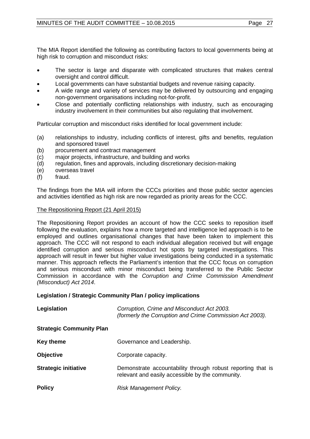The MIA Report identified the following as contributing factors to local governments being at high risk to corruption and misconduct risks:

- The sector is large and disparate with complicated structures that makes central oversight and control difficult.
- Local governments can have substantial budgets and revenue raising capacity.
- A wide range and variety of services may be delivered by outsourcing and engaging non-government organisations including not-for-profit.
- Close and potentially conflicting relationships with industry, such as encouraging industry involvement in their communities but also regulating that involvement.

Particular corruption and misconduct risks identified for local government include:

- (a) relationships to industry, including conflicts of interest, gifts and benefits, regulation and sponsored travel
- (b) procurement and contract management<br>(c) major projects, infrastructure, and buildir
- major projects, infrastructure, and building and works
- (d) regulation, fines and approvals, including discretionary decision-making
- (e) overseas travel<br>(f) fraud.
- fraud.

The findings from the MIA will inform the CCCs priorities and those public sector agencies and activities identified as high risk are now regarded as priority areas for the CCC.

## The Repositioning Report (21 April 2015)

The Repositioning Report provides an account of how the CCC seeks to reposition itself following the evaluation, explains how a more targeted and intelligence led approach is to be employed and outlines organisational changes that have been taken to implement this approach. The CCC will not respond to each individual allegation received but will engage identified corruption and serious misconduct hot spots by targeted investigations. This approach will result in fewer but higher value investigations being conducted in a systematic manner. This approach reflects the Parliament's intention that the CCC focus on corruption and serious misconduct with minor misconduct being transferred to the Public Sector Commission in accordance with the *Corruption and Crime Commission Amendment (Misconduct) Act 2014*.

## **Legislation / Strategic Community Plan / policy implications**

| Legislation                     | Corruption, Crime and Misconduct Act 2003.<br>(formerly the Corruption and Crime Commission Act 2003).          |
|---------------------------------|-----------------------------------------------------------------------------------------------------------------|
| <b>Strategic Community Plan</b> |                                                                                                                 |
| <b>Key theme</b>                | Governance and Leadership.                                                                                      |
| <b>Objective</b>                | Corporate capacity.                                                                                             |
| <b>Strategic initiative</b>     | Demonstrate accountability through robust reporting that is<br>relevant and easily accessible by the community. |
| <b>Policy</b>                   | Risk Management Policy.                                                                                         |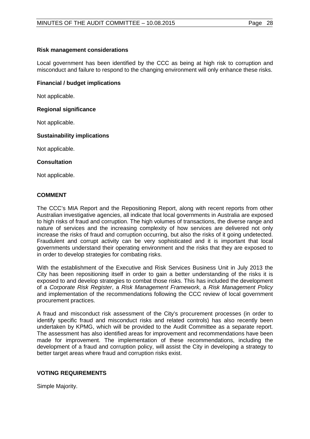## **Risk management considerations**

Local government has been identified by the CCC as being at high risk to corruption and misconduct and failure to respond to the changing environment will only enhance these risks.

## **Financial / budget implications**

Not applicable.

# **Regional significance**

Not applicable.

# **Sustainability implications**

Not applicable.

## **Consultation**

Not applicable.

# **COMMENT**

The CCC's MIA Report and the Repositioning Report, along with recent reports from other Australian investigative agencies, all indicate that local governments in Australia are exposed to high risks of fraud and corruption. The high volumes of transactions, the diverse range and nature of services and the increasing complexity of how services are delivered not only increase the risks of fraud and corruption occurring, but also the risks of it going undetected. Fraudulent and corrupt activity can be very sophisticated and it is important that local governments understand their operating environment and the risks that they are exposed to in order to develop strategies for combating risks.

With the establishment of the Executive and Risk Services Business Unit in July 2013 the City has been repositioning itself in order to gain a better understanding of the risks it is exposed to and develop strategies to combat those risks. This has included the development of a *Corporate Risk Register*, a *Risk Management Framework*, a *Risk Management Policy* and implementation of the recommendations following the CCC review of local government procurement practices.

A fraud and misconduct risk assessment of the City's procurement processes (in order to identify specific fraud and misconduct risks and related controls) has also recently been undertaken by KPMG, which will be provided to the Audit Committee as a separate report. The assessment has also identified areas for improvement and recommendations have been made for improvement. The implementation of these recommendations, including the development of a fraud and corruption policy, will assist the City in developing a strategy to better target areas where fraud and corruption risks exist.

## **VOTING REQUIREMENTS**

Simple Majority.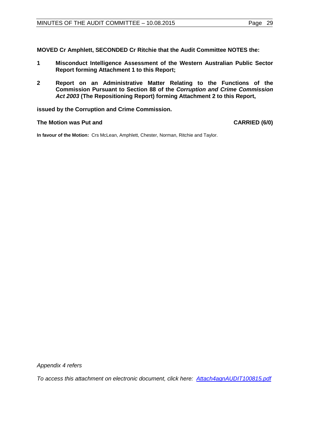**MOVED Cr Amphlett, SECONDED Cr Ritchie that the Audit Committee NOTES the:**

- **1 Misconduct Intelligence Assessment of the Western Australian Public Sector Report forming Attachment 1 to this Report;**
- **2 Report on an Administrative Matter Relating to the Functions of the Commission Pursuant to Section 88 of the** *Corruption and Crime Commission Act 2003* **(The Repositioning Report) forming Attachment 2 to this Report,**

**issued by the Corruption and Crime Commission.**

## **The Motion was Put and CARRIED (6/0)**

**In favour of the Motion:** Crs McLean, Amphlett, Chester, Norman, Ritchie and Taylor.

*Appendix 4 refers*

<span id="page-28-0"></span>*To access this attachment on electronic document, click he[re: Attach4agnAUDIT100815.pdf](http://www.joondalup.wa.gov.au/files/committees/AUDT/2015/Attach4agnAUDIT100815.pdf)*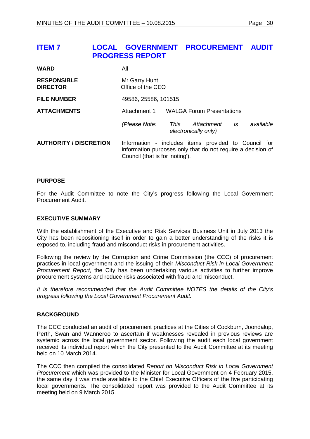# **ITEM 7 LOCAL GOVERNMENT PROCUREMENT AUDIT PROGRESS REPORT**

| <b>WARD</b>                           | All                                |                                                                                                                     |  |
|---------------------------------------|------------------------------------|---------------------------------------------------------------------------------------------------------------------|--|
| <b>RESPONSIBLE</b><br><b>DIRECTOR</b> | Mr Garry Hunt<br>Office of the CEO |                                                                                                                     |  |
| <b>FILE NUMBER</b>                    | 49586, 25586, 101515               |                                                                                                                     |  |
| <b>ATTACHMENTS</b>                    | Attachment 1                       | <b>WALGA Forum Presentations</b>                                                                                    |  |
|                                       | (Please Note:<br>This              | is<br>available<br>Attachment<br>electronically only)                                                               |  |
| <b>AUTHORITY / DISCRETION</b>         | Council (that is for 'noting').    | Information - includes items provided to Council for<br>information purposes only that do not require a decision of |  |

## **PURPOSE**

For the Audit Committee to note the City's progress following the Local Government Procurement Audit.

## **EXECUTIVE SUMMARY**

With the establishment of the Executive and Risk Services Business Unit in July 2013 the City has been repositioning itself in order to gain a better understanding of the risks it is exposed to, including fraud and misconduct risks in procurement activities.

Following the review by the Corruption and Crime Commission (the CCC) of procurement practices in local government and the issuing of their *Misconduct Risk in Local Government Procurement Report,* the City has been undertaking various activities to further improve procurement systems and reduce risks associated with fraud and misconduct.

*It is therefore recommended that the Audit Committee NOTES the details of the City's progress following the Local Government Procurement Audit.*

## **BACKGROUND**

The CCC conducted an audit of procurement practices at the Cities of Cockburn, Joondalup, Perth, Swan and Wanneroo to ascertain if weaknesses revealed in previous reviews are systemic across the local government sector. Following the audit each local government received its individual report which the City presented to the Audit Committee at its meeting held on 10 March 2014.

The CCC then compiled the consolidated *Report on Misconduct Risk in Local Government Procurement* which was provided to the Minister for Local Government on 4 February 2015, the same day it was made available to the Chief Executive Officers of the five participating local governments. The consolidated report was provided to the Audit Committee at its meeting held on 9 March 2015.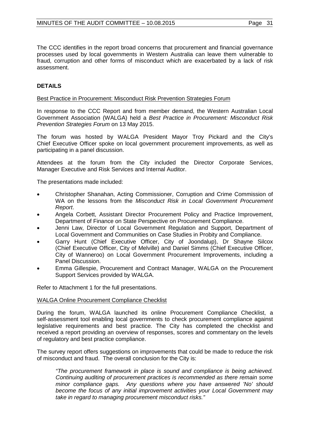The CCC identifies in the report broad concerns that procurement and financial governance processes used by local governments in Western Australia can leave them vulnerable to fraud, corruption and other forms of misconduct which are exacerbated by a lack of risk assessment.

# **DETAILS**

## Best Practice in Procurement: Misconduct Risk Prevention Strategies Forum

In response to the CCC Report and from member demand, the Western Australian Local Government Association (WALGA) held a *Best Practice in Procurement: Misconduct Risk Prevention Strategies Forum* on 13 May 2015.

The forum was hosted by WALGA President Mayor Troy Pickard and the City's Chief Executive Officer spoke on local government procurement improvements, as well as participating in a panel discussion.

Attendees at the forum from the City included the Director Corporate Services, Manager Executive and Risk Services and Internal Auditor.

The presentations made included:

- Christopher Shanahan, Acting Commissioner, Corruption and Crime Commission of WA on the lessons from the *Misconduct Risk in Local Government Procurement Report*.
- Angela Corbett, Assistant Director Procurement Policy and Practice Improvement, Department of Finance on State Perspective on Procurement Compliance.
- Jenni Law, Director of Local Government Regulation and Support, Department of Local Government and Communities on Case Studies in Probity and Compliance.
- Garry Hunt (Chief Executive Officer, City of Joondalup), Dr Shayne Silcox (Chief Executive Officer, City of Melville) and Daniel Simms (Chief Executive Officer, City of Wanneroo) on Local Government Procurement Improvements, including a Panel Discussion.
- Emma Gillespie, Procurement and Contract Manager, WALGA on the Procurement Support Services provided by WALGA.

Refer to Attachment 1 for the full presentations.

## WALGA Online Procurement Compliance Checklist

During the forum, WALGA launched its online Procurement Compliance Checklist, a self-assessment tool enabling local governments to check procurement compliance against legislative requirements and best practice. The City has completed the checklist and received a report providing an overview of responses, scores and commentary on the levels of regulatory and best practice compliance.

The survey report offers suggestions on improvements that could be made to reduce the risk of misconduct and fraud. The overall conclusion for the City is:

*"The procurement framework in place is sound and compliance is being achieved. Continuing auditing of procurement practices is recommended as there remain some minor compliance gaps. Any questions where you have answered 'No' should become the focus of any initial improvement activities your Local Government may take in regard to managing procurement misconduct risks."*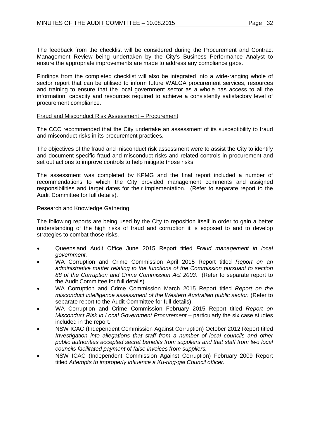The feedback from the checklist will be considered during the Procurement and Contract Management Review being undertaken by the City's Business Performance Analyst to ensure the appropriate improvements are made to address any compliance gaps.

Findings from the completed checklist will also be integrated into a wide-ranging whole of sector report that can be utilised to inform future WALGA procurement services, resources and training to ensure that the local government sector as a whole has access to all the information, capacity and resources required to achieve a consistently satisfactory level of procurement compliance.

## Fraud and Misconduct Risk Assessment – Procurement

The CCC recommended that the City undertake an assessment of its susceptibility to fraud and misconduct risks in its procurement practices.

The objectives of the fraud and misconduct risk assessment were to assist the City to identify and document specific fraud and misconduct risks and related controls in procurement and set out actions to improve controls to help mitigate those risks.

The assessment was completed by KPMG and the final report included a number of recommendations to which the City provided management comments and assigned responsibilities and target dates for their implementation. (Refer to separate report to the Audit Committee for full details).

## Research and Knowledge Gathering

The following reports are being used by the City to reposition itself in order to gain a better understanding of the high risks of fraud and corruption it is exposed to and to develop strategies to combat those risks.

- Queensland Audit Office June 2015 Report titled *Fraud management in local government.*
- WA Corruption and Crime Commission April 2015 Report titled *Report on an administrative matter relating to the functions of the Commission pursuant to section 88 of the Corruption and Crime Commission Act 2003.* (Refer to separate report to the Audit Committee for full details).
- WA Corruption and Crime Commission March 2015 Report titled *Report on the misconduct intelligence assessment of the Western Australian public sector.* (Refer to separate report to the Audit Committee for full details).
- WA Corruption and Crime Commission February 2015 Report titled *Report on Misconduct Risk in Local Government Procurement – particularly the six case studies* included in the report.
- NSW ICAC (Independent Commission Against Corruption) October 2012 Report titled *Investigation into allegations that staff from a number of local councils and other public authorities accepted secret benefits from suppliers and that staff from two local councils facilitated payment of false invoices from suppliers.*
- NSW ICAC (Independent Commission Against Corruption) February 2009 Report titled *Attempts to improperly influence a Ku-ring-gai Council officer.*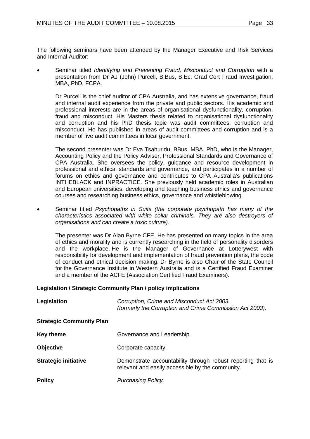The following seminars have been attended by the Manager Executive and Risk Services and Internal Auditor:

• Seminar titled *Identifying and Preventing Fraud, Misconduct and Corruption* with a presentation from Dr AJ (John) Purcell, B.Bus, B.Ec, Grad Cert Fraud Investigation, MBA, PhD, FCPA.

Dr Purcell is the chief auditor of CPA Australia, and has extensive governance, fraud and internal audit experience from the private and public sectors. His academic and professional interests are in the areas of organisational dysfunctionality, corruption, fraud and misconduct. His Masters thesis related to organisational dysfunctionality and corruption and his PhD thesis topic was audit committees, corruption and misconduct. He has published in areas of audit committees and corruption and is a member of five audit committees in local government.

The second presenter was Dr Eva Tsahuridu, BBus, MBA, PhD, who is the Manager, Accounting Policy and the Policy Adviser, Professional Standards and Governance of CPA Australia. She oversees the policy, guidance and resource development in professional and ethical standards and governance, and participates in a number of forums on ethics and governance and contributes to CPA Australia's publications INTHEBLACK and INPRACTICE. She previously held academic roles in Australian and European universities, developing and teaching business ethics and governance courses and researching business ethics, governance and whistleblowing.

• Seminar titled *Psychopaths in Suits (the corporate psychopath has many of the characteristics associated with white collar criminals. They are also destroyers of organisations and can create a toxic culture).*

The presenter was Dr Alan Byrne CFE. He has presented on many topics in the area of ethics and morality and is currently researching in the field of personality disorders and the workplace. He is the Manager of Governance at Lotterywest with responsibility for development and implementation of fraud prevention plans, the code of conduct and ethical decision making. Dr Byrne is also Chair of the State Council for the Governance Institute in Western Australia and is a Certified Fraud Examiner and a member of the ACFE (Association Certified Fraud Examiners).

## **Legislation / Strategic Community Plan / policy implications**

| Legislation                     | Corruption, Crime and Misconduct Act 2003.<br>(formerly the Corruption and Crime Commission Act 2003).          |
|---------------------------------|-----------------------------------------------------------------------------------------------------------------|
| <b>Strategic Community Plan</b> |                                                                                                                 |
| <b>Key theme</b>                | Governance and Leadership.                                                                                      |
| <b>Objective</b>                | Corporate capacity.                                                                                             |
| <b>Strategic initiative</b>     | Demonstrate accountability through robust reporting that is<br>relevant and easily accessible by the community. |
| <b>Policy</b>                   | Purchasing Policy.                                                                                              |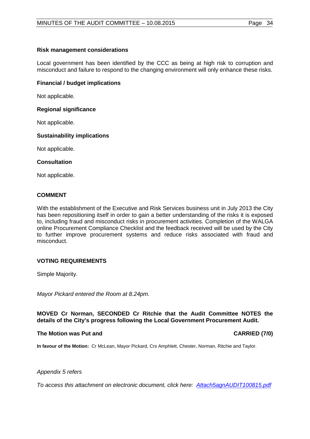## **Risk management considerations**

Local government has been identified by the CCC as being at high risk to corruption and misconduct and failure to respond to the changing environment will only enhance these risks.

## **Financial / budget implications**

Not applicable.

## **Regional significance**

Not applicable.

# **Sustainability implications**

Not applicable.

## **Consultation**

Not applicable.

# **COMMENT**

With the establishment of the Executive and Risk Services business unit in July 2013 the City has been repositioning itself in order to gain a better understanding of the risks it is exposed to, including fraud and misconduct risks in procurement activities. Completion of the WALGA online Procurement Compliance Checklist and the feedback received will be used by the City to further improve procurement systems and reduce risks associated with fraud and misconduct.

## **VOTING REQUIREMENTS**

Simple Majority.

*Mayor Pickard entered the Room at 8.24pm.* 

## **MOVED Cr Norman, SECONDED Cr Ritchie that the Audit Committee NOTES the details of the City's progress following the Local Government Procurement Audit.**

## **The Motion was Put and CARRIED (7/0)**

**In favour of the Motion:** Cr McLean, Mayor Pickard, Crs Amphlett, Chester, Norman, Ritchie and Taylor.

*Appendix 5 refers*

<span id="page-33-0"></span>*To access this attachment on electronic document, click [here: Attach5agnAUDIT100815.pdf](http://www.joondalup.wa.gov.au/files/committees/AUDT/2015/Attach5agnAUDIT100815.pdf)*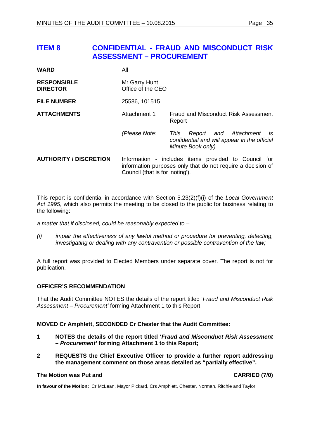# **ITEM 8 CONFIDENTIAL - FRAUD AND MISCONDUCT RISK ASSESSMENT – PROCUREMENT**

| WARD                                  | All                                |                                                                                                                     |  |
|---------------------------------------|------------------------------------|---------------------------------------------------------------------------------------------------------------------|--|
| <b>RESPONSIBLE</b><br><b>DIRECTOR</b> | Mr Garry Hunt<br>Office of the CEO |                                                                                                                     |  |
| <b>FILE NUMBER</b>                    | 25586, 101515                      |                                                                                                                     |  |
| <b>ATTACHMENTS</b>                    | Attachment 1                       | Fraud and Misconduct Risk Assessment<br>Report                                                                      |  |
|                                       | (Please Note:                      | Report and Attachment<br>This<br>is<br>confidential and will appear in the official<br>Minute Book only)            |  |
| <b>AUTHORITY / DISCRETION</b>         | Council (that is for 'noting').    | Information - includes items provided to Council for<br>information purposes only that do not require a decision of |  |

This report is confidential in accordance with Section 5.23(2)(f)(i) of the *Local Government Act 1995*, which also permits the meeting to be closed to the public for business relating to the following:

*a matter that if disclosed, could be reasonably expected to –*

*(i) impair the effectiveness of any lawful method or procedure for preventing, detecting, investigating or dealing with any contravention or possible contravention of the law;*

A full report was provided to Elected Members under separate cover. The report is not for publication.

## **OFFICER'S RECOMMENDATION**

That the Audit Committee NOTES the details of the report titled '*Fraud and Misconduct Risk Assessment – Procurement'* forming Attachment 1 to this Report.

## **MOVED Cr Amphlett, SECONDED Cr Chester that the Audit Committee:**

- **1 NOTES the details of the report titled '***Fraud and Misconduct Risk Assessment – Procurement'* **forming Attachment 1 to this Report;**
- **2 REQUESTS the Chief Executive Officer to provide a further report addressing the management comment on those areas detailed as "partially effective".**

## **The Motion was Put and CARRIED (7/0)**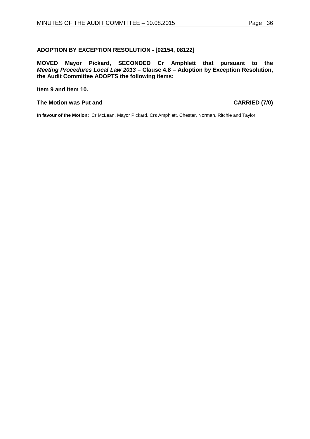# <span id="page-35-0"></span>**ADOPTION BY EXCEPTION RESOLUTION - [02154, 08122]**

**MOVED Mayor Pickard, SECONDED Cr Amphlett that pursuant to the**  *Meeting Procedures Local Law 2013* **– Clause 4.8 – Adoption by Exception Resolution, the Audit Committee ADOPTS the following items:**

## **Item 9 and Item 10.**

## **The Motion was Put and CARRIED (7/0)**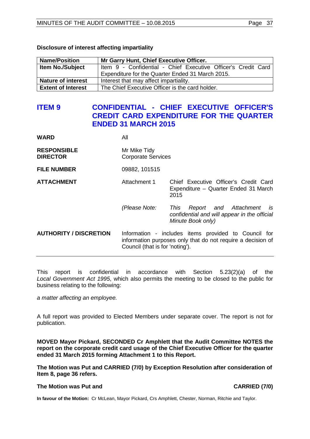## **Disclosure of interest affecting impartiality**

| <b>Name/Position</b>      | Mr Garry Hunt, Chief Executive Officer.                       |  |  |
|---------------------------|---------------------------------------------------------------|--|--|
| <b>Item No./Subject</b>   | Item 9 - Confidential - Chief Executive Officer's Credit Card |  |  |
|                           | Expenditure for the Quarter Ended 31 March 2015.              |  |  |
| <b>Nature of interest</b> | Interest that may affect impartiality.                        |  |  |
| <b>Extent of Interest</b> | The Chief Executive Officer is the card holder.               |  |  |

# <span id="page-36-0"></span>**ITEM 9 CONFIDENTIAL - CHIEF EXECUTIVE OFFICER'S CREDIT CARD EXPENDITURE FOR THE QUARTER ENDED 31 MARCH 2015**

| WARD                                  | All                                                                                                                                                    |                                                                                                             |
|---------------------------------------|--------------------------------------------------------------------------------------------------------------------------------------------------------|-------------------------------------------------------------------------------------------------------------|
| <b>RESPONSIBLE</b><br><b>DIRECTOR</b> | Mr Mike Tidy<br><b>Corporate Services</b>                                                                                                              |                                                                                                             |
| <b>FILE NUMBER</b>                    | 09882, 101515                                                                                                                                          |                                                                                                             |
| <b>ATTACHMENT</b>                     | Attachment 1                                                                                                                                           | Chief Executive Officer's Credit Card<br>Expenditure - Quarter Ended 31 March<br>2015                       |
|                                       | (Please Note:                                                                                                                                          | Report and Attachment<br>is is<br>This<br>confidential and will appear in the official<br>Minute Book only) |
| <b>AUTHORITY / DISCRETION</b>         | Information - includes items provided to Council for<br>information purposes only that do not require a decision of<br>Council (that is for 'noting'). |                                                                                                             |

This report is confidential in accordance with Section 5.23(2)(a) of the *Local Government Act 1995*, which also permits the meeting to be closed to the public for business relating to the following:

*a matter affecting an employee.*

A full report was provided to Elected Members under separate cover. The report is not for publication.

**MOVED Mayor Pickard, SECONDED Cr Amphlett that the Audit Committee NOTES the report on the corporate credit card usage of the Chief Executive Officer for the quarter ended 31 March 2015 forming Attachment 1 to this Report.**

**The Motion was Put and CARRIED (7/0) by Exception Resolution after consideration of Item 8, page [36](#page-35-0) refers.**

## **The Motion was Put and CARRIED (7/0)**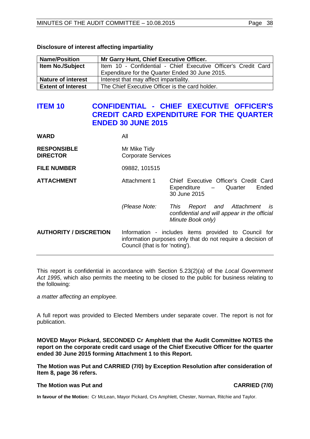| <b>Name/Position</b>      | Mr Garry Hunt, Chief Executive Officer.                        |
|---------------------------|----------------------------------------------------------------|
| <b>Item No./Subject</b>   | Item 10 - Confidential - Chief Executive Officer's Credit Card |
|                           | Expenditure for the Quarter Ended 30 June 2015.                |
| <b>Nature of interest</b> | Interest that may affect impartiality.                         |
| <b>Extent of Interest</b> | The Chief Executive Officer is the card holder.                |

## **Disclosure of interest affecting impartiality**

# <span id="page-37-0"></span>**ITEM 10 CONFIDENTIAL - CHIEF EXECUTIVE OFFICER'S CREDIT CARD EXPENDITURE FOR THE QUARTER ENDED 30 JUNE 2015**

| All                                       |                                                                                                                     |
|-------------------------------------------|---------------------------------------------------------------------------------------------------------------------|
| Mr Mike Tidy<br><b>Corporate Services</b> |                                                                                                                     |
| 09882, 101515                             |                                                                                                                     |
| Attachment 1                              | Chief Executive Officer's Credit Card<br>Ended<br>Expenditure<br>- Quarter<br>30 June 2015                          |
| (Please Note:                             | Report and Attachment<br>is<br>This<br>confidential and will appear in the official<br>Minute Book only)            |
| Council (that is for 'noting').           | Information - includes items provided to Council for<br>information purposes only that do not require a decision of |
|                                           |                                                                                                                     |

This report is confidential in accordance with Section 5.23(2)(a) of the *Local Government Act 1995*, which also permits the meeting to be closed to the public for business relating to the following:

*a matter affecting an employee.*

A full report was provided to Elected Members under separate cover. The report is not for publication.

**MOVED Mayor Pickard, SECONDED Cr Amphlett that the Audit Committee NOTES the report on the corporate credit card usage of the Chief Executive Officer for the quarter ended 30 June 2015 forming Attachment 1 to this Report.**

**The Motion was Put and CARRIED (7/0) by Exception Resolution after consideration of Item 8, page [36](#page-35-0) refers.**

## **The Motion was Put and CARRIED (7/0)**